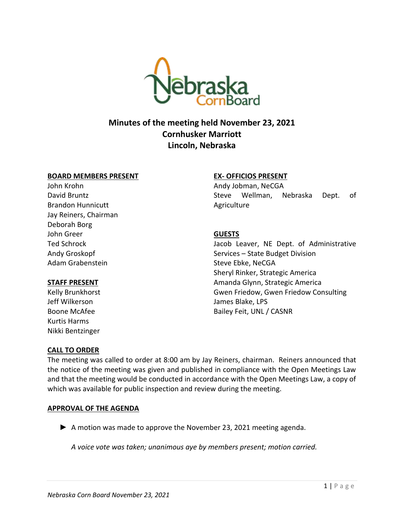

# **Minutes of the meeting held November 23, 2021 Cornhusker Marriott Lincoln, Nebraska**

#### **BOARD MEMBERS PRESENT**

John Krohn David Bruntz Brandon Hunnicutt Jay Reiners, Chairman Deborah Borg John Greer Ted Schrock Andy Groskopf Adam Grabenstein

#### **STAFF PRESENT**

Kelly Brunkhorst Jeff Wilkerson Boone McAfee Kurtis Harms Nikki Bentzinger

# **EX- OFFICIOS PRESENT**

Andy Jobman, NeCGA Steve Wellman, Nebraska Dept. of Agriculture

# **GUESTS**

Jacob Leaver, NE Dept. of Administrative Services – State Budget Division Steve Ebke, NeCGA Sheryl Rinker, Strategic America Amanda Glynn, Strategic America Gwen Friedow, Gwen Friedow Consulting James Blake, LPS Bailey Feit, UNL / CASNR

# **CALL TO ORDER**

The meeting was called to order at 8:00 am by Jay Reiners, chairman. Reiners announced that the notice of the meeting was given and published in compliance with the Open Meetings Law and that the meeting would be conducted in accordance with the Open Meetings Law, a copy of which was available for public inspection and review during the meeting.

# **APPROVAL OF THE AGENDA**

▶ A motion was made to approve the November 23, 2021 meeting agenda.

*A voice vote was taken; unanimous aye by members present; motion carried.*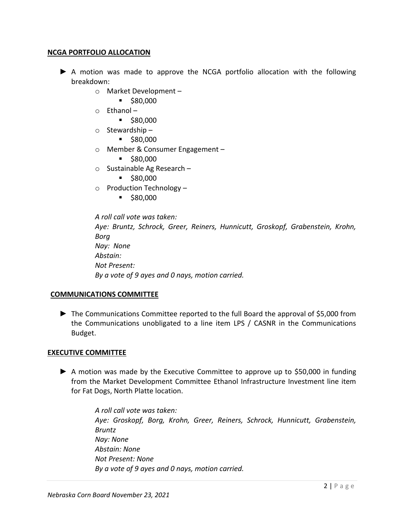# **NCGA PORTFOLIO ALLOCATION**

- ► A motion was made to approve the NCGA portfolio allocation with the following breakdown:
	- o Market Development
		- \$80,000
	- $\circ$  Fthanol
		- \$80,000
	- o Stewardship
		- \$80,000
	- o Member & Consumer Engagement
		- \$80,000
	- o Sustainable Ag Research
		- \$80,000
	- $\circ$  Production Technology
		- \$80,000

*A roll call vote was taken: Aye: Bruntz, Schrock, Greer, Reiners, Hunnicutt, Groskopf, Grabenstein, Krohn, Borg Nay: None Abstain: Not Present: By a vote of 9 ayes and 0 nays, motion carried.*

# **COMMUNICATIONS COMMITTEE**

► The Communications Committee reported to the full Board the approval of \$5,000 from the Communications unobligated to a line item LPS / CASNR in the Communications Budget.

#### **EXECUTIVE COMMITTEE**

► A motion was made by the Executive Committee to approve up to \$50,000 in funding from the Market Development Committee Ethanol Infrastructure Investment line item for Fat Dogs, North Platte location.

> *A roll call vote was taken: Aye: Groskopf, Borg, Krohn, Greer, Reiners, Schrock, Hunnicutt, Grabenstein, Bruntz Nay: None Abstain: None Not Present: None By a vote of 9 ayes and 0 nays, motion carried.*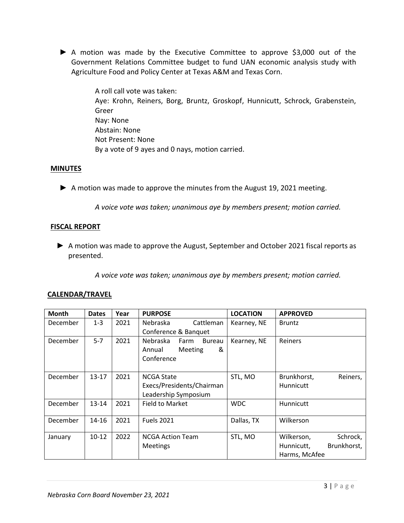► A motion was made by the Executive Committee to approve \$3,000 out of the Government Relations Committee budget to fund UAN economic analysis study with Agriculture Food and Policy Center at Texas A&M and Texas Corn.

> A roll call vote was taken: Aye: Krohn, Reiners, Borg, Bruntz, Groskopf, Hunnicutt, Schrock, Grabenstein, Greer Nay: None Abstain: None Not Present: None By a vote of 9 ayes and 0 nays, motion carried.

# **MINUTES**

► A motion was made to approve the minutes from the August 19, 2021 meeting.

*A voice vote was taken; unanimous aye by members present; motion carried.*

# **FISCAL REPORT**

► A motion was made to approve the August, September and October 2021 fiscal reports as presented.

*A voice vote was taken; unanimous aye by members present; motion carried.*

# **CALENDAR/TRAVEL**

| Month    | <b>Dates</b> | Year | <b>PURPOSE</b>                    | <b>LOCATION</b> | <b>APPROVED</b>           |
|----------|--------------|------|-----------------------------------|-----------------|---------------------------|
| December | $1 - 3$      | 2021 | Nebraska<br>Cattleman             | Kearney, NE     | <b>Bruntz</b>             |
|          |              |      | Conference & Banquet              |                 |                           |
| December | $5 - 7$      | 2021 | Nebraska<br><b>Bureau</b><br>Farm | Kearney, NE     | Reiners                   |
|          |              |      | &<br>Meeting<br>Annual            |                 |                           |
|          |              |      | Conference                        |                 |                           |
|          |              |      |                                   |                 |                           |
| December | $13 - 17$    | 2021 | <b>NCGA State</b>                 | STL, MO         | Brunkhorst,<br>Reiners,   |
|          |              |      | Execs/Presidents/Chairman         |                 | Hunnicutt                 |
|          |              |      | Leadership Symposium              |                 |                           |
| December | $13 - 14$    | 2021 | <b>Field to Market</b>            | <b>WDC</b>      | Hunnicutt                 |
|          |              |      |                                   |                 |                           |
| December | 14-16        | 2021 | <b>Fuels 2021</b>                 | Dallas, TX      | Wilkerson                 |
|          |              |      |                                   |                 |                           |
| January  | $10-12$      | 2022 | <b>NCGA Action Team</b>           | STL, MO         | Wilkerson,<br>Schrock,    |
|          |              |      | <b>Meetings</b>                   |                 | Brunkhorst,<br>Hunnicutt, |
|          |              |      |                                   |                 | Harms, McAfee             |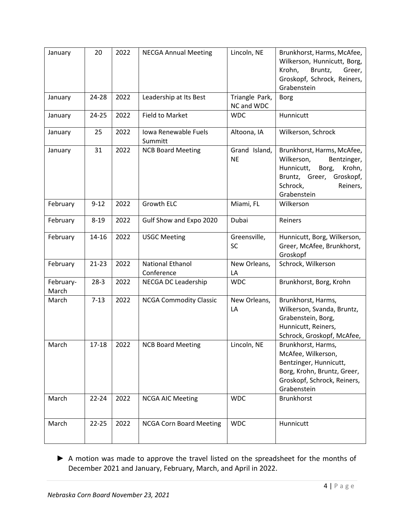| January            | 20        | 2022 | <b>NECGA Annual Meeting</b>           | Lincoln, NE                  | Brunkhorst, Harms, McAfee,<br>Wilkerson, Hunnicutt, Borg,<br>Krohn,<br>Bruntz,<br>Greer,<br>Groskopf, Schrock, Reiners,<br>Grabenstein                      |
|--------------------|-----------|------|---------------------------------------|------------------------------|-------------------------------------------------------------------------------------------------------------------------------------------------------------|
| January            | 24-28     | 2022 | Leadership at Its Best                | Triangle Park,<br>NC and WDC | <b>Borg</b>                                                                                                                                                 |
| January            | 24-25     | 2022 | <b>Field to Market</b>                | <b>WDC</b>                   | Hunnicutt                                                                                                                                                   |
| January            | 25        | 2022 | Iowa Renewable Fuels<br>Summitt       | Altoona, IA                  | Wilkerson, Schrock                                                                                                                                          |
| January            | 31        | 2022 | <b>NCB Board Meeting</b>              | Grand Island,<br><b>NE</b>   | Brunkhorst, Harms, McAfee,<br>Wilkerson,<br>Bentzinger,<br>Borg,<br>Hunnicutt,<br>Krohn,<br>Bruntz, Greer, Groskopf,<br>Schrock,<br>Reiners,<br>Grabenstein |
| February           | $9 - 12$  | 2022 | Growth ELC                            | Miami, FL                    | Wilkerson                                                                                                                                                   |
| February           | $8 - 19$  | 2022 | Gulf Show and Expo 2020               | Dubai                        | Reiners                                                                                                                                                     |
| February           | 14-16     | 2022 | <b>USGC Meeting</b>                   | Greensville,<br><b>SC</b>    | Hunnicutt, Borg, Wilkerson,<br>Greer, McAfee, Brunkhorst,<br>Groskopf                                                                                       |
| February           | $21 - 23$ | 2022 | <b>National Ethanol</b><br>Conference | New Orleans,<br>LA           | Schrock, Wilkerson                                                                                                                                          |
| February-<br>March | $28-3$    | 2022 | NECGA DC Leadership                   | <b>WDC</b>                   | Brunkhorst, Borg, Krohn                                                                                                                                     |
| March              | $7 - 13$  | 2022 | <b>NCGA Commodity Classic</b>         | New Orleans,<br>LA           | Brunkhorst, Harms,<br>Wilkerson, Svanda, Bruntz,<br>Grabenstein, Borg,<br>Hunnicutt, Reiners,<br>Schrock, Groskopf, McAfee,                                 |
| March              | 17-18     | 2022 | <b>NCB Board Meeting</b>              | Lincoln, NE                  | Brunkhorst, Harms,<br>McAfee, Wilkerson,<br>Bentzinger, Hunnicutt,<br>Borg, Krohn, Bruntz, Greer,<br>Groskopf, Schrock, Reiners,<br>Grabenstein             |
| March              | $22 - 24$ | 2022 | <b>NCGA AIC Meeting</b>               | <b>WDC</b>                   | Brunkhorst                                                                                                                                                  |
| March              | $22 - 25$ | 2022 | <b>NCGA Corn Board Meeting</b>        | <b>WDC</b>                   | Hunnicutt                                                                                                                                                   |

▶ A motion was made to approve the travel listed on the spreadsheet for the months of December 2021 and January, February, March, and April in 2022.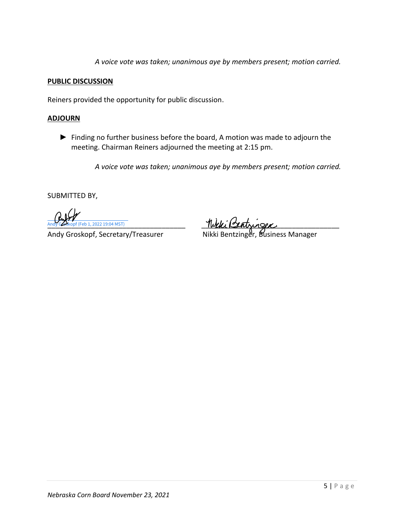*A voice vote was taken; unanimous aye by members present; motion carried.*

# **PUBLIC DISCUSSION**

Reiners provided the opportunity for public discussion.

# **ADJOURN**

► Finding no further business before the board, A motion was made to adjourn the meeting. Chairman Reiners adjourned the meeting at 2:15 pm.

*A voice vote was taken; unanimous aye by members present; motion carried.*

SUBMITTED BY,

(Feb 1, 2022 19:04 MST)

 $\frac{1}{2}$  Andy Cookopf (Feb 1, 2022 19:04 MST)

Andy Groskopf, Secretary/Treasurer Nikki Bentzinger, Business Manager